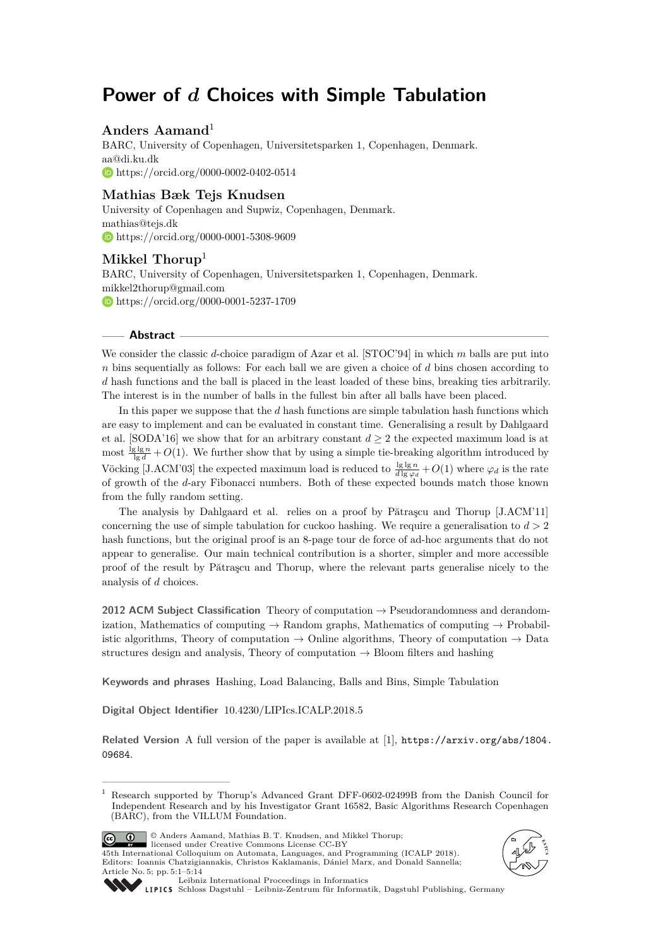# **Power of** *d* **Choices with Simple Tabulation**

# **Anders Aamand**<sup>1</sup>

BARC, University of Copenhagen, Universitetsparken 1, Copenhagen, Denmark. [aa@di.ku.dk](mailto:aa@di.ku.dk) <https://orcid.org/0000-0002-0402-0514>

# **Mathias Bæk Tejs Knudsen**

University of Copenhagen and Supwiz, Copenhagen, Denmark. [mathias@tejs.dk](mailto:mathias@tejs.dk) <https://orcid.org/0000-0001-5308-9609>

# **Mikkel Thorup**<sup>1</sup>

BARC, University of Copenhagen, Universitetsparken 1, Copenhagen, Denmark. [mikkel2thorup@gmail.com](mailto:mikkel2thorup@gmail.com) <https://orcid.org/0000-0001-5237-1709>

## **Abstract**

We consider the classic *d*-choice paradigm of Azar et al. [STOC'94] in which *m* balls are put into *n* bins sequentially as follows: For each ball we are given a choice of *d* bins chosen according to *d* hash functions and the ball is placed in the least loaded of these bins, breaking ties arbitrarily. The interest is in the number of balls in the fullest bin after all balls have been placed.

In this paper we suppose that the *d* hash functions are simple tabulation hash functions which are easy to implement and can be evaluated in constant time. Generalising a result by Dahlgaard et al. [SODA'16] we show that for an arbitrary constant  $d \geq 2$  the expected maximum load is at most  $\frac{\lg \lg n}{\lg d} + O(1)$ . We further show that by using a simple tie-breaking algorithm introduced by Vöcking [J.ACM'03] the expected maximum load is reduced to  $\frac{\lg \lg n}{d \lg \varphi_d} + O(1)$  where  $\varphi_d$  is the rate of growth of the *d*-ary Fibonacci numbers. Both of these expected bounds match those known from the fully random setting.

The analysis by Dahlgaard et al. relies on a proof by Pătraşcu and Thorup [J.ACM'11] concerning the use of simple tabulation for cuckoo hashing. We require a generalisation to  $d > 2$ hash functions, but the original proof is an 8-page tour de force of ad-hoc arguments that do not appear to generalise. Our main technical contribution is a shorter, simpler and more accessible proof of the result by Pătraşcu and Thorup, where the relevant parts generalise nicely to the analysis of *d* choices.

**2012 ACM Subject Classification** Theory of computation → Pseudorandomness and derandomization, Mathematics of computing  $\rightarrow$  Random graphs, Mathematics of computing  $\rightarrow$  Probabilistic algorithms, Theory of computation  $\rightarrow$  Online algorithms, Theory of computation  $\rightarrow$  Data structures design and analysis, Theory of computation  $\rightarrow$  Bloom filters and hashing

**Keywords and phrases** Hashing, Load Balancing, Balls and Bins, Simple Tabulation

**Digital Object Identifier** [10.4230/LIPIcs.ICALP.2018.5](http://dx.doi.org/10.4230/LIPIcs.ICALP.2018.5)

Related Version A full version of the paper is available at [\[1\]](#page-12-0), [https://arxiv.org/abs/1804.](https://arxiv.org/abs/1804.09684) [09684](https://arxiv.org/abs/1804.09684).

© Anders Aamand, Mathias B. T. Knudsen, and Mikkel Thorup;  $\boxed{6}$   $\boxed{0}$ licensed under Creative Commons License CC-BY

45th International Colloquium on Automata, Languages, and Programming (ICALP 2018). Editors: Ioannis Chatzigiannakis, Christos Kaklamanis, Dániel Marx, and Donald Sannella; Article No. 5; pp. 5:1–5[:14](#page-13-0)





[Leibniz International Proceedings in Informatics](http://www.dagstuhl.de/lipics/)

[Schloss Dagstuhl – Leibniz-Zentrum für Informatik, Dagstuhl Publishing, Germany](http://www.dagstuhl.de)

<sup>1</sup> Research supported by Thorup's Advanced Grant DFF-0602-02499B from the Danish Council for Independent Research and by his Investigator Grant 16582, Basic Algorithms Research Copenhagen (BARC), from the VILLUM Foundation.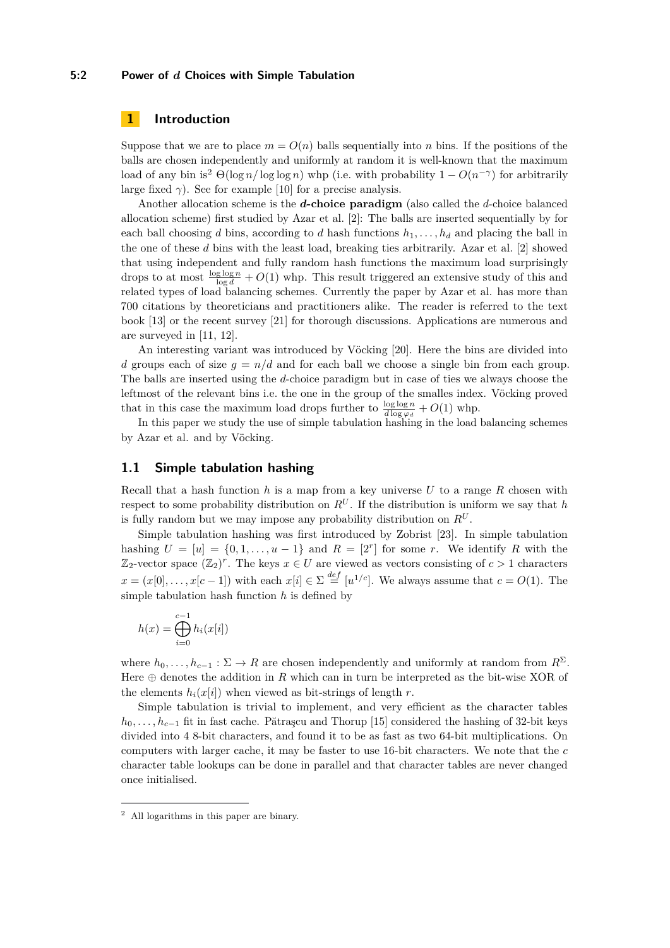## **5:2 Power of** *d* **Choices with Simple Tabulation**

# **1 Introduction**

Suppose that we are to place  $m = O(n)$  balls sequentially into *n* bins. If the positions of the balls are chosen independently and uniformly at random it is well-known that the maximum load of any bin is<sup>[2](#page-1-0)</sup>  $\Theta(\log n / \log \log n)$  whp (i.e. with probability  $1 - O(n^{-\gamma})$  for arbitrarily large fixed  $\gamma$ ). See for example [\[10\]](#page-12-1) for a precise analysis.

Another allocation scheme is the *d***-choice paradigm** (also called the *d*-choice balanced allocation scheme) first studied by Azar et al. [\[2\]](#page-12-2): The balls are inserted sequentially by for each ball choosing *d* bins, according to *d* hash functions  $h_1, \ldots, h_d$  and placing the ball in the one of these *d* bins with the least load, breaking ties arbitrarily. Azar et al. [\[2\]](#page-12-2) showed that using independent and fully random hash functions the maximum load surprisingly drops to at most  $\frac{\log \log n}{\log d} + O(1)$  whp. This result triggered an extensive study of this and related types of load balancing schemes. Currently the paper by Azar et al. has more than 700 citations by theoreticians and practitioners alike. The reader is referred to the text book [\[13\]](#page-12-3) or the recent survey [\[21\]](#page-13-1) for thorough discussions. Applications are numerous and are surveyed in [\[11,](#page-12-4) [12\]](#page-12-5).

An interesting variant was introduced by Vöcking [\[20\]](#page-13-2). Here the bins are divided into *d* groups each of size  $g = n/d$  and for each ball we choose a single bin from each group. The balls are inserted using the *d*-choice paradigm but in case of ties we always choose the leftmost of the relevant bins i.e. the one in the group of the smalles index. Vöcking proved that in this case the maximum load drops further to  $\frac{\log \log n}{d \log \varphi_d} + O(1)$  whp.

In this paper we study the use of simple tabulation hashing in the load balancing schemes by Azar et al. and by Vöcking.

## **1.1 Simple tabulation hashing**

Recall that a hash function *h* is a map from a key universe *U* to a range *R* chosen with respect to some probability distribution on  $R^U$ . If the distribution is uniform we say that *h* is fully random but we may impose any probability distribution on  $R^U$ .

Simple tabulation hashing was first introduced by Zobrist [\[23\]](#page-13-3). In simple tabulation hashing  $U = [u] = \{0, 1, \ldots, u - 1\}$  and  $R = [2^r]$  for some *r*. We identify R with the  $\mathbb{Z}_2$ -vector space  $(\mathbb{Z}_2)^r$ . The keys  $x \in U$  are viewed as vectors consisting of  $c > 1$  characters  $x = (x[0], \ldots, x[c-1])$  with each  $x[i] \in \Sigma \stackrel{def}{=} [u^{1/c}]$ . We always assume that  $c = O(1)$ . The simple tabulation hash function *h* is defined by

$$
h(x) = \bigoplus_{i=0}^{c-1} h_i(x[i])
$$

where  $h_0, \ldots, h_{c-1} : \Sigma \to R$  are chosen independently and uniformly at random from  $R^{\Sigma}$ . Here  $\oplus$  denotes the addition in *R* which can in turn be interpreted as the bit-wise XOR of the elements  $h_i(x[i])$  when viewed as bit-strings of length  $r$ .

Simple tabulation is trivial to implement, and very efficient as the character tables *h*<sub>0</sub>*, . . . , h*<sub>*c*−1</sub> fit in fast cache. Pătrașcu and Thorup [\[15\]](#page-12-6) considered the hashing of 32-bit keys divided into 4 8-bit characters, and found it to be as fast as two 64-bit multiplications. On computers with larger cache, it may be faster to use 16-bit characters. We note that the *c* character table lookups can be done in parallel and that character tables are never changed once initialised.

<span id="page-1-0"></span><sup>2</sup> All logarithms in this paper are binary.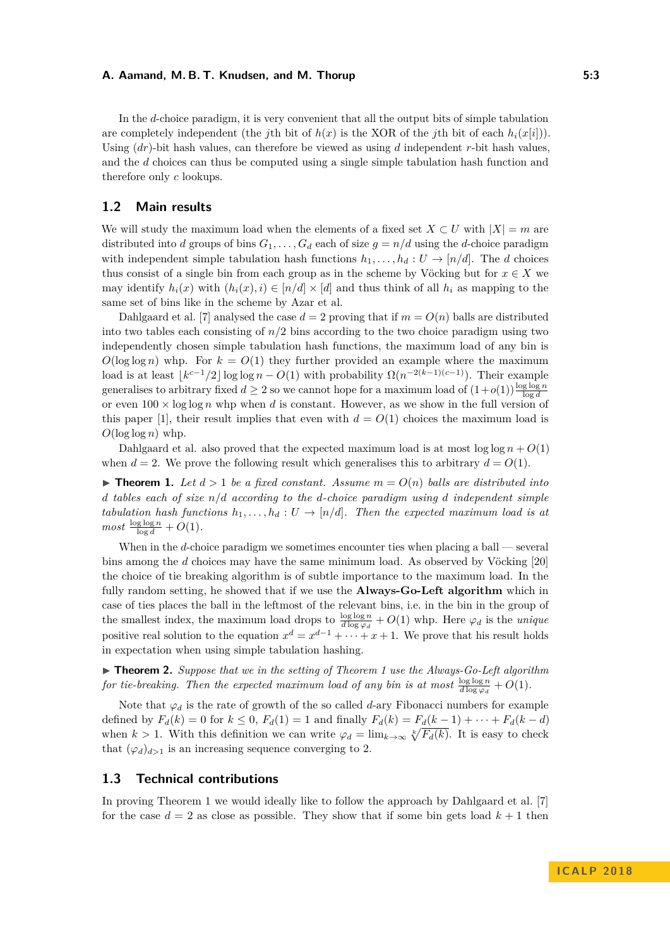In the *d*-choice paradigm, it is very convenient that all the output bits of simple tabulation are completely independent (the *j*th bit of  $h(x)$  is the XOR of the *j*th bit of each  $h_i(x[i])$ ). Using (*dr*)-bit hash values, can therefore be viewed as using *d* independent *r*-bit hash values, and the *d* choices can thus be computed using a single simple tabulation hash function and therefore only *c* lookups.

## **1.2 Main results**

We will study the maximum load when the elements of a fixed set  $X \subset U$  with  $|X| = m$  are distributed into *d* groups of bins  $G_1, \ldots, G_d$  each of size  $g = n/d$  using the *d*-choice paradigm with independent simple tabulation hash functions  $h_1, \ldots, h_d : U \to [n/d]$ . The *d* choices thus consist of a single bin from each group as in the scheme by Vöcking but for  $x \in X$  we may identify  $h_i(x)$  with  $(h_i(x), i) \in [n/d] \times [d]$  and thus think of all  $h_i$  as mapping to the same set of bins like in the scheme by Azar et al.

Dahlgaard et al. [\[7\]](#page-12-7) analysed the case  $d = 2$  proving that if  $m = O(n)$  balls are distributed into two tables each consisting of  $n/2$  bins according to the two choice paradigm using two independently chosen simple tabulation hash functions, the maximum load of any bin is  $O(\log \log n)$  whp. For  $k = O(1)$  they further provided an example where the maximum load is at least  $k^{c-1}/2 \log \log n - O(1)$  with probability  $\Omega(n^{-2(k-1)(c-1)})$ . Their example generalises to arbitrary fixed  $d \geq 2$  so we cannot hope for a maximum load of  $(1+o(1))\frac{\log \log n}{\log d}$ or even  $100 \times \log \log n$  whp when *d* is constant. However, as we show in the full version of this paper [\[1\]](#page-12-0), their result implies that even with  $d = O(1)$  choices the maximum load is  $O(\log \log n)$  whp.

Dahlgaard et al. also proved that the expected maximum load is at most  $\log \log n + O(1)$ when  $d = 2$ . We prove the following result which generalises this to arbitrary  $d = O(1)$ .

<span id="page-2-0"></span> $\triangleright$  **Theorem 1.** Let  $d > 1$  be a fixed constant. Assume  $m = O(n)$  balls are distributed into *d tables each of size n/d according to the d-choice paradigm using d independent simple tabulation hash functions*  $h_1, \ldots, h_d : U \rightarrow [n/d]$ *. Then the expected maximum load is at*  $most \frac{\log \log n}{\log d} + O(1)$ .

When in the *d*-choice paradigm we sometimes encounter ties when placing a ball — several bins among the *d* choices may have the same minimum load. As observed by Vöcking [\[20\]](#page-13-2) the choice of tie breaking algorithm is of subtle importance to the maximum load. In the fully random setting, he showed that if we use the **Always-Go-Left algorithm** which in case of ties places the ball in the leftmost of the relevant bins, i.e. in the bin in the group of the smallest index, the maximum load drops to  $\frac{\log \log n}{d \log \varphi_d} + O(1)$  whp. Here  $\varphi_d$  is the *unique* positive real solution to the equation  $x^d = x^{d-1} + \cdots + x + 1$ . We prove that his result holds in expectation when using simple tabulation hashing.

<span id="page-2-1"></span>I **Theorem 2.** *Suppose that we in the setting of Theorem [1](#page-2-0) use the Always-Go-Left algorithm for tie-breaking. Then the expected maximum load of any bin is at most*  $\frac{\log \log n}{d \log \varphi_d} + O(1)$ .

Note that  $\varphi_d$  is the rate of growth of the so called *d*-ary Fibonacci numbers for example defined by  $F_d(k) = 0$  for  $k \le 0$ ,  $F_d(1) = 1$  and finally  $F_d(k) = F_d(k-1) + \cdots + F_d(k-d)$ when  $k > 1$ . With this definition we can write  $\varphi_d = \lim_{k \to \infty} \sqrt[k]{F_d(k)}$ . It is easy to check that  $(\varphi_d)_{d>1}$  is an increasing sequence converging to 2.

## **1.3 Technical contributions**

In proving Theorem [1](#page-2-0) we would ideally like to follow the approach by Dahlgaard et al. [\[7\]](#page-12-7) for the case  $d = 2$  as close as possible. They show that if some bin gets load  $k + 1$  then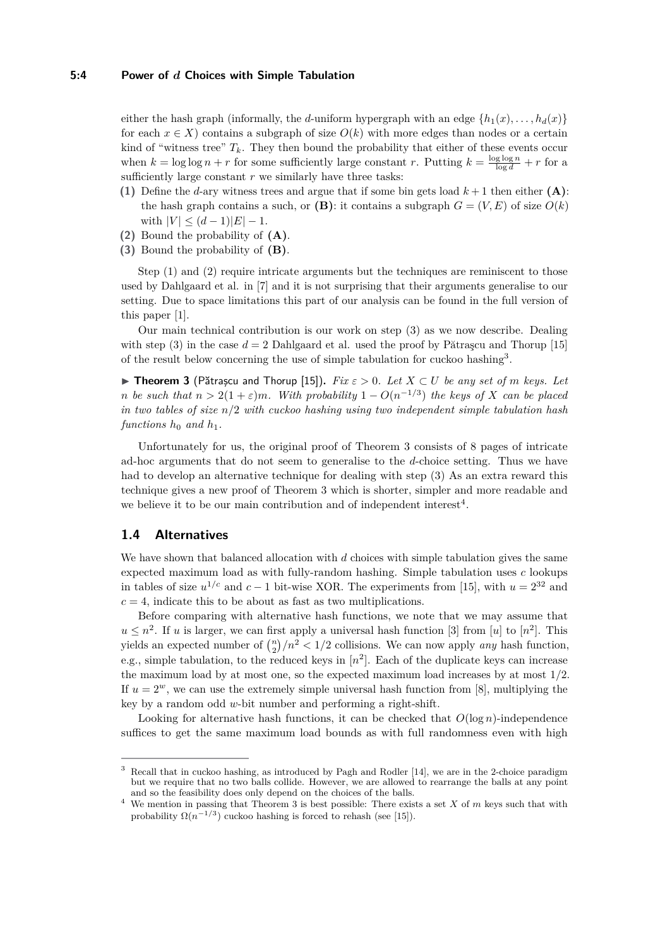#### **5:4 Power of** *d* **Choices with Simple Tabulation**

either the hash graph (informally, the *d*-uniform hypergraph with an edge  $\{h_1(x), \ldots, h_d(x)\}\$ for each  $x \in X$ ) contains a subgraph of size  $O(k)$  with more edges than nodes or a certain kind of "witness tree"  $T_k$ . They then bound the probability that either of these events occur when  $k = \log \log n + r$  for some sufficiently large constant *r*. Putting  $k = \frac{\log \log n}{\log d} + r$  for a sufficiently large constant  $r$  we similarly have three tasks:

- **(1)** Define the *d*-ary witness trees and argue that if some bin gets load *k* + 1 then either **(A)**: the hash graph contains a such, or  $(\mathbf{B})$ : it contains a subgraph  $G = (V, E)$  of size  $O(k)$ with  $|V| \leq (d-1)|E|-1$ .
- **(2)** Bound the probability of **(A)**.
- **(3)** Bound the probability of **(B)**.

Step  $(1)$  and  $(2)$  require intricate arguments but the techniques are reminiscent to those used by Dahlgaard et al. in [\[7\]](#page-12-7) and it is not surprising that their arguments generalise to our setting. Due to space limitations this part of our analysis can be found in the full version of this paper [\[1\]](#page-12-0).

Our main technical contribution is our work on step (3) as we now describe. Dealing with step (3) in the case  $d = 2$  Dahlgaard et al. used the proof by Pătrascu and Thorup [\[15\]](#page-12-6) of the result below concerning the use of simple tabulation for cuckoo hashing<sup>[3](#page-3-0)</sup>.

<span id="page-3-1"></span>**► Theorem 3** (Pătrașcu and Thorup [\[15\]](#page-12-6)). *Fix*  $\varepsilon > 0$ . Let  $X \subset U$  be any set of *m* keys. Let *n be such that*  $n > 2(1+\varepsilon)m$ *. With probability*  $1 - O(n^{-1/3})$  *the keys of X can be placed in two tables of size n/*2 *with cuckoo hashing using two independent simple tabulation hash functions*  $h_0$  *and*  $h_1$ *.* 

Unfortunately for us, the original proof of Theorem [3](#page-3-1) consists of 8 pages of intricate ad-hoc arguments that do not seem to generalise to the *d*-choice setting. Thus we have had to develop an alternative technique for dealing with step (3) As an extra reward this technique gives a new proof of Theorem [3](#page-3-1) which is shorter, simpler and more readable and we believe it to be our main contribution and of independent interest<sup>[4](#page-3-2)</sup>.

## **1.4 Alternatives**

We have shown that balanced allocation with *d* choices with simple tabulation gives the same expected maximum load as with fully-random hashing. Simple tabulation uses *c* lookups in tables of size  $u^{1/c}$  and  $c-1$  bit-wise XOR. The experiments from [\[15\]](#page-12-6), with  $u = 2^{32}$  and  $c = 4$ , indicate this to be about as fast as two multiplications.

Before comparing with alternative hash functions, we note that we may assume that  $u \leq n^2$ . If *u* is larger, we can first apply a universal hash function [\[3\]](#page-12-8) from [*u*] to [*n*<sup>2</sup>]. This yields an expected number of  $\binom{n}{2}/n^2 < 1/2$  collisions. We can now apply *any* hash function, e.g., simple tabulation, to the reduced keys in  $[n^2]$ . Each of the duplicate keys can increase the maximum load by at most one, so the expected maximum load increases by at most 1*/*2. If  $u = 2^w$ , we can use the extremely simple universal hash function from [\[8\]](#page-12-9), multiplying the key by a random odd *w*-bit number and performing a right-shift.

Looking for alternative hash functions, it can be checked that  $O(\log n)$ -independence suffices to get the same maximum load bounds as with full randomness even with high

<span id="page-3-0"></span><sup>3</sup> Recall that in cuckoo hashing, as introduced by Pagh and Rodler [\[14\]](#page-12-10), we are in the 2-choice paradigm but we require that no two balls collide. However, we are allowed to rearrange the balls at any point and so the feasibility does only depend on the choices of the balls.

<span id="page-3-2"></span><sup>4</sup> We mention in passing that Theorem [3](#page-3-1) is best possible: There exists a set *X* of *m* keys such that with probability  $\Omega(n^{-1/3})$  cuckoo hashing is forced to rehash (see [\[15\]](#page-12-6)).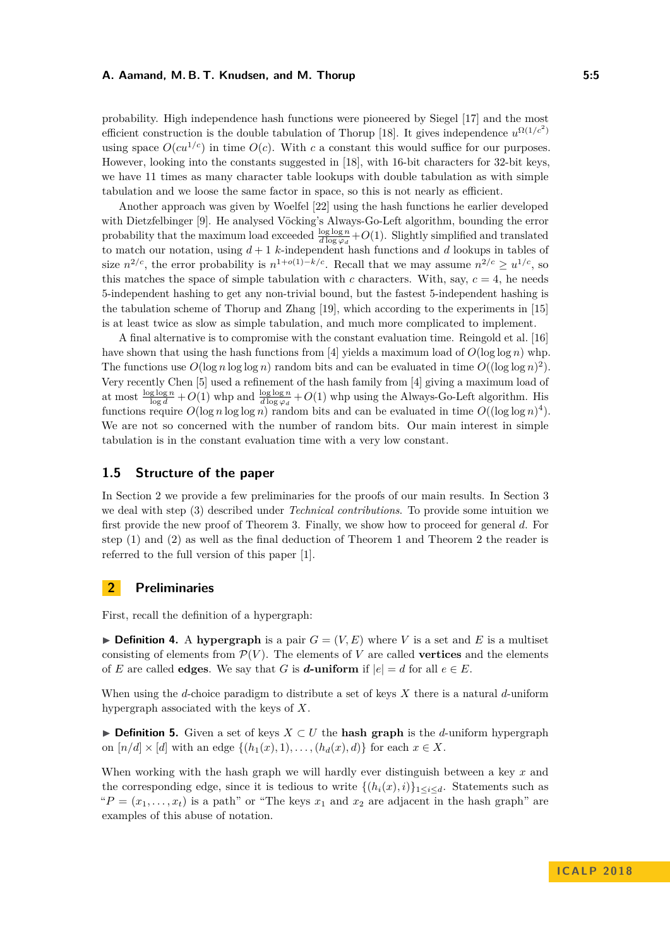probability. High independence hash functions were pioneered by Siegel [\[17\]](#page-12-11) and the most efficient construction is the double tabulation of Thorup [\[18\]](#page-12-12). It gives independence  $u^{\Omega(1/c^2)}$ using space  $O(cu^{1/c})$  in time  $O(c)$ . With c a constant this would suffice for our purposes. However, looking into the constants suggested in [\[18\]](#page-12-12), with 16-bit characters for 32-bit keys, we have 11 times as many character table lookups with double tabulation as with simple tabulation and we loose the same factor in space, so this is not nearly as efficient.

Another approach was given by Woelfel [\[22\]](#page-13-4) using the hash functions he earlier developed with Dietzfelbinger [\[9\]](#page-12-13). He analysed Vöcking's Always-Go-Left algorithm, bounding the error probability that the maximum load exceeded  $\frac{\log \log n}{d \log \varphi_d} + O(1)$ . Slightly simplified and translated to match our notation, using *d* + 1 *k*-independent hash functions and *d* lookups in tables of size  $n^{2/c}$ , the error probability is  $n^{1+o(1)-k/c}$ . Recall that we may assume  $n^{2/c} \geq u^{1/c}$ , so this matches the space of simple tabulation with *c* characters. With, say,  $c = 4$ , he needs 5-independent hashing to get any non-trivial bound, but the fastest 5-independent hashing is the tabulation scheme of Thorup and Zhang [\[19\]](#page-12-14), which according to the experiments in [\[15\]](#page-12-6) is at least twice as slow as simple tabulation, and much more complicated to implement.

A final alternative is to compromise with the constant evaluation time. Reingold et al. [\[16\]](#page-12-15) have shown that using the hash functions from [\[4\]](#page-12-16) yields a maximum load of  $O(\log \log n)$  whp. The functions use  $O(\log n \log \log n)$  random bits and can be evaluated in time  $O((\log \log n)^2)$ . Very recently Chen [\[5\]](#page-12-17) used a refinement of the hash family from [\[4\]](#page-12-16) giving a maximum load of at most  $\frac{\log \log n}{\log d} + O(1)$  whp and  $\frac{\log \log n}{d \log \varphi_d} + O(1)$  whp using the Always-Go-Left algorithm. His functions require  $O(\log n \log \log n)$  random bits and can be evaluated in time  $O((\log \log n)^4)$ . We are not so concerned with the number of random bits. Our main interest in simple tabulation is in the constant evaluation time with a very low constant.

# **1.5 Structure of the paper**

In Section [2](#page-4-0) we provide a few preliminaries for the proofs of our main results. In Section [3](#page-5-0) we deal with step (3) described under *Technical contributions*. To provide some intuition we first provide the new proof of Theorem [3.](#page-3-1) Finally, we show how to proceed for general *d*. For step (1) and (2) as well as the final deduction of Theorem [1](#page-2-0) and Theorem [2](#page-2-1) the reader is referred to the full version of this paper [\[1\]](#page-12-0).

## <span id="page-4-0"></span>**2 Preliminaries**

First, recall the definition of a hypergraph:

 $\triangleright$  **Definition 4.** A hypergraph is a pair  $G = (V, E)$  where V is a set and E is a multiset consisting of elements from  $\mathcal{P}(V)$ . The elements of *V* are called **vertices** and the elements of *E* are called **edges**. We say that *G* is *d***-uniform** if  $|e| = d$  for all  $e \in E$ .

When using the *d*-choice paradigm to distribute a set of keys *X* there is a natural *d*-uniform hypergraph associated with the keys of *X*.

I **Definition 5.** Given a set of keys *X* ⊂ *U* the **hash graph** is the *d*-uniform hypergraph on  $[n/d] \times [d]$  with an edge  $\{(h_1(x), 1), \ldots, (h_d(x), d)\}\$ for each  $x \in X$ .

When working with the hash graph we will hardly ever distinguish between a key *x* and the corresponding edge, since it is tedious to write  $\{(h_i(x), i)\}_{1 \leq i \leq d}$ . Statements such as " $P = (x_1, \ldots, x_t)$  is a path" or "The keys  $x_1$  and  $x_2$  are adjacent in the hash graph" are examples of this abuse of notation.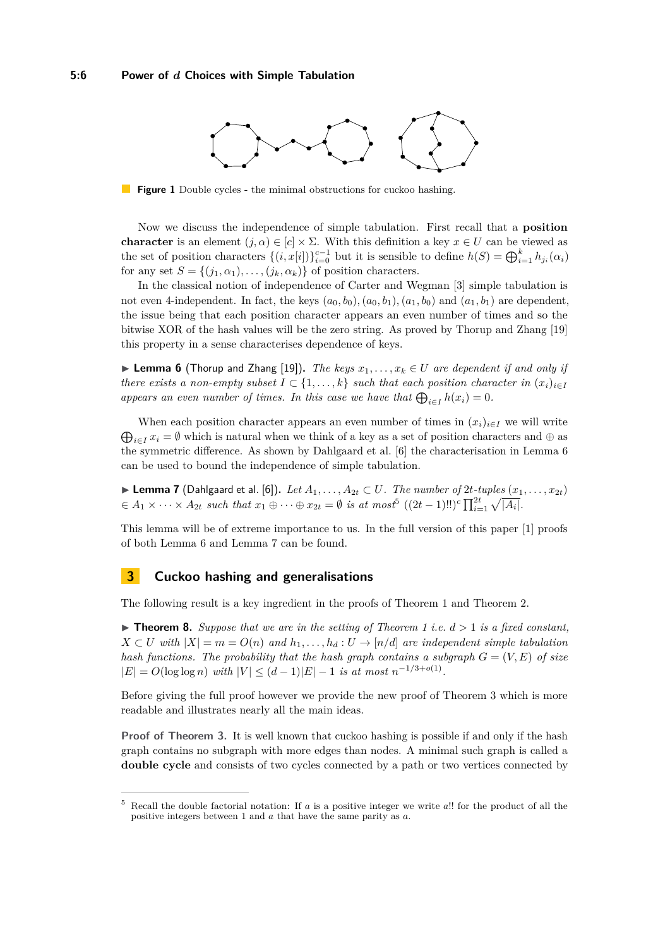<span id="page-5-4"></span>

**Figure 1** Double cycles - the minimal obstructions for cuckoo hashing.

Now we discuss the independence of simple tabulation. First recall that a **position character** is an element  $(j, \alpha) \in [c] \times \Sigma$ . With this definition a key  $x \in U$  can be viewed as the set of position characters  $\{(i, x[i])\}_{i=0}^{c-1}$  but it is sensible to define  $h(S) = \bigoplus_{i=1}^{k} h_{j_i}(\alpha_i)$ for any set  $S = \{(j_1, \alpha_1), \ldots, (j_k, \alpha_k)\}\$ of position characters.

In the classical notion of independence of Carter and Wegman [\[3\]](#page-12-8) simple tabulation is not even 4-independent. In fact, the keys  $(a_0, b_0)$ ,  $(a_0, b_1)$ ,  $(a_1, b_0)$  and  $(a_1, b_1)$  are dependent, the issue being that each position character appears an even number of times and so the bitwise XOR of the hash values will be the zero string. As proved by Thorup and Zhang [\[19\]](#page-12-14) this property in a sense characterises dependence of keys.

<span id="page-5-1"></span>**► Lemma 6** (Thorup and Zhang [\[19\]](#page-12-14)). *The keys*  $x_1, \ldots, x_k \in U$  are dependent if and only if *there exists a non-empty subset*  $I \subset \{1, ..., k\}$  *such that each position character in*  $(x_i)_{i \in I}$ appears an even number of times. In this case we have that  $\bigoplus_{i \in I} h(x_i) = 0$ .

 $\bigoplus_{i\in I} x_i = \emptyset$  which is natural when we think of a key as a set of position characters and  $\oplus$  as When each position character appears an even number of times in  $(x_i)_{i \in I}$  we will write the symmetric difference. As shown by Dahlgaard et al. [\[6\]](#page-12-18) the characterisation in Lemma [6](#page-5-1) can be used to bound the independence of simple tabulation.

<span id="page-5-3"></span>▶ Lemma 7 (Dahlgaard et al. [\[6\]](#page-12-18)). *Let*  $A_1, \ldots, A_{2t} \subset U$ *. The number of* 2*t-tuples*  $(x_1, \ldots, x_{2t})$  $A_1 \times \cdots \times A_{2t}$  such that  $x_1 \oplus \cdots \oplus x_{2t} = \emptyset$  is at most<sup>[5](#page-5-2)</sup>  $((2t-1)!!)^c \prod_{i=1}^{2t} \sqrt{|A_i|}$ .

This lemma will be of extreme importance to us. In the full version of this paper [\[1\]](#page-12-0) proofs of both Lemma [6](#page-5-1) and Lemma [7](#page-5-3) can be found.

## <span id="page-5-0"></span>**3 Cuckoo hashing and generalisations**

The following result is a key ingredient in the proofs of Theorem [1](#page-2-0) and Theorem [2.](#page-2-1)

<span id="page-5-5"></span> $\triangleright$  **Theorem 8.** *Suppose that we are in the setting of Theorem [1](#page-2-0) i.e.*  $d > 1$  *is a fixed constant, X* ⊂ *U* with  $|X| = m = O(n)$  and  $h_1, \ldots, h_d : U \rightarrow [n/d]$  are independent simple tabulation *hash functions. The probability that the hash graph contains a subgraph*  $G = (V, E)$  of size  $|E| = O(\log \log n)$  *with*  $|V| \leq (d-1)|E| - 1$  *is at most*  $n^{-1/3+o(1)}$ .

Before giving the full proof however we provide the new proof of Theorem [3](#page-3-1) which is more readable and illustrates nearly all the main ideas.

**Proof of Theorem [3.](#page-3-1)** It is well known that cuckoo hashing is possible if and only if the hash graph contains no subgraph with more edges than nodes. A minimal such graph is called a **double cycle** and consists of two cycles connected by a path or two vertices connected by

<span id="page-5-2"></span><sup>5</sup> Recall the double factorial notation: If *a* is a positive integer we write *a*!! for the product of all the positive integers between 1 and *a* that have the same parity as *a*.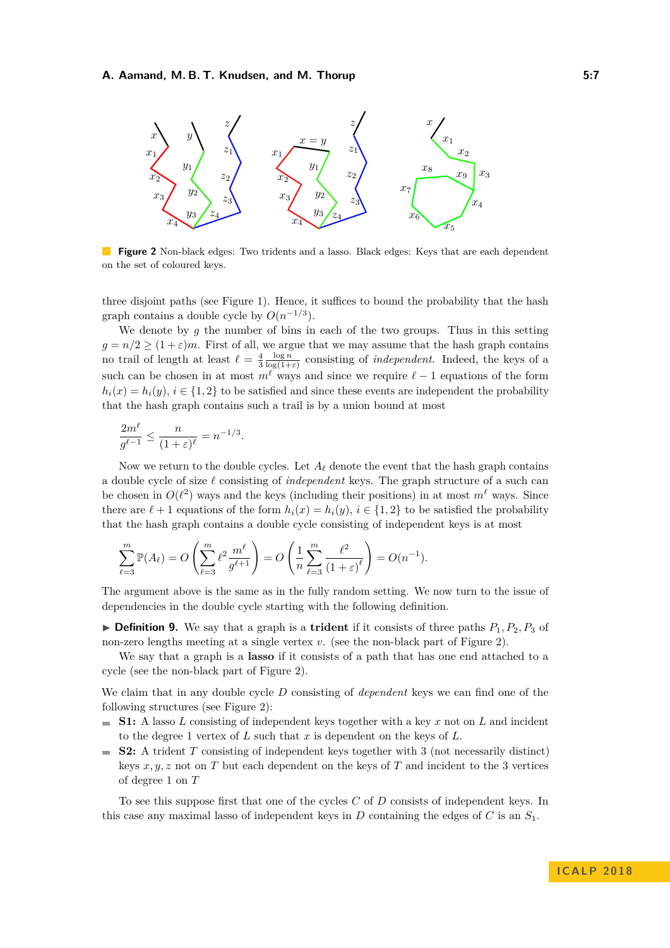<span id="page-6-0"></span>

**Figure 2** Non-black edges: Two tridents and a lasso. Black edges: Keys that are each dependent on the set of coloured keys.

three disjoint paths (see Figure [1\)](#page-5-4). Hence, it suffices to bound the probability that the hash graph contains a double cycle by  $O(n^{-1/3})$ .

We denote by *g* the number of bins in each of the two groups. Thus in this setting  $g = n/2 \ge (1 + \varepsilon)m$ . First of all, we argue that we may assume that the hash graph contains no trail of length at least  $\ell = \frac{4}{3} \frac{\log n}{\log(1+\varepsilon)}$  consisting of *independent*. Indeed, the keys of a such can be chosen in at most  $m^{\ell}$  ways and since we require  $\ell - 1$  equations of the form  $h_i(x) = h_i(y), i \in \{1, 2\}$  to be satisfied and since these events are independent the probability that the hash graph contains such a trail is by a union bound at most

$$
\frac{2m^\ell}{g^{\ell-1}} \leq \frac{n}{(1+\varepsilon)^\ell} = n^{-1/3}.
$$

Now we return to the double cycles. Let  $A_\ell$  denote the event that the hash graph contains a double cycle of size  $\ell$  consisting of *independent* keys. The graph structure of a such can be chosen in  $O(\ell^2)$  ways and the keys (including their positions) in at most  $m^{\ell}$  ways. Since there are  $\ell + 1$  equations of the form  $h_i(x) = h_i(y)$ ,  $i \in \{1, 2\}$  to be satisfied the probability that the hash graph contains a double cycle consisting of independent keys is at most

$$
\sum_{\ell=3}^m \mathbb{P}(A_\ell) = O\left(\sum_{\ell=3}^m \ell^2 \frac{m^\ell}{g^{\ell+1}}\right) = O\left(\frac{1}{n} \sum_{\ell=3}^m \frac{\ell^2}{(1+\varepsilon)^\ell}\right) = O(n^{-1}).
$$

The argument above is the same as in the fully random setting. We now turn to the issue of dependencies in the double cycle starting with the following definition.

**Definition 9.** We say that a graph is a **trident** if it consists of three paths  $P_1$ ,  $P_2$ ,  $P_3$  of non-zero lengths meeting at a single vertex *v*. (see the non-black part of Figure [2\)](#page-6-0).

We say that a graph is a **lasso** if it consists of a path that has one end attached to a cycle (see the non-black part of Figure [2\)](#page-6-0).

We claim that in any double cycle *D* consisting of *dependent* keys we can find one of the following structures (see Figure [2\)](#page-6-0):

- $\blacksquare$  **S1:** A lasso *L* consisting of independent keys together with a key *x* not on *L* and incident to the degree 1 vertex of *L* such that *x* is dependent on the keys of *L*.
- **S2:** A trident *T* consisting of independent keys together with 3 (not necessarily distinct)  $\mathbf{r}$ keys *x, y, z* not on *T* but each dependent on the keys of *T* and incident to the 3 vertices of degree 1 on *T*

To see this suppose first that one of the cycles *C* of *D* consists of independent keys. In this case any maximal lasso of independent keys in  $D$  containing the edges of  $C$  is an  $S_1$ .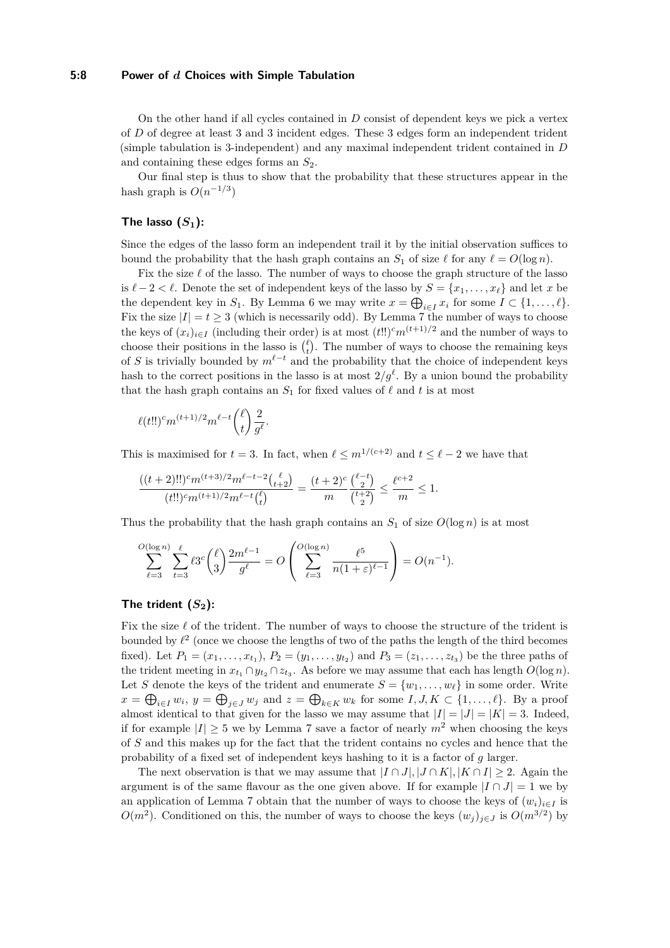## **5:8 Power of** *d* **Choices with Simple Tabulation**

On the other hand if all cycles contained in *D* consist of dependent keys we pick a vertex of *D* of degree at least 3 and 3 incident edges. These 3 edges form an independent trident (simple tabulation is 3-independent) and any maximal independent trident contained in *D* and containing these edges forms an *S*2.

Our final step is thus to show that the probability that these structures appear in the hash graph is  $O(n^{-1/3})$ 

## **The lasso**  $(S_1)$ :

Since the edges of the lasso form an independent trail it by the initial observation suffices to bound the probability that the hash graph contains an  $S_1$  of size  $\ell$  for any  $\ell = O(\log n)$ .

Fix the size  $\ell$  of the lasso. The number of ways to choose the graph structure of the lasso is  $ℓ − 2 < ℓ$ . Denote the set of independent keys of the lasso by  $S = \{x_1, \ldots, x_\ell\}$  and let *x* be the dependent key in  $S_1$ . By Lemma [6](#page-5-1) we may write  $x = \bigoplus_{i \in I} x_i$  for some  $I \subset \{1, \ldots, \ell\}$ . Fix the size  $|I| = t \geq 3$  (which is necessarily odd). By Lemma [7](#page-5-3) the number of ways to choose the keys of  $(x_i)_{i \in I}$  (including their order) is at most  $(t!)^c m^{(t+1)/2}$  and the number of ways to choose their positions in the lasso is  $\binom{\ell}{t}$ . The number of ways to choose the remaining keys of *S* is trivially bounded by  $m^{\ell-t}$  and the probability that the choice of independent keys hash to the correct positions in the lasso is at most  $2/g^{\ell}$ . By a union bound the probability that the hash graph contains an  $S_1$  for fixed values of  $\ell$  and  $t$  is at most

$$
\ell(t!!)^{c} m^{(t+1)/2} m^{\ell-t} { \ell \choose t } \frac{2}{g^{\ell}}.
$$

This is maximised for  $t = 3$ . In fact, when  $\ell \leq m^{1/(c+2)}$  and  $t \leq \ell - 2$  we have that

$$
\frac{((t+2)!!)^{c}m^{(t+3)/2}m^{\ell-t-2}{t+2 \choose t+2}}{(t!!)^{c}m^{(t+1)/2}m^{\ell-t}{\ell \choose t}} = \frac{(t+2)^{c}}{{m}}\frac{{\ell-t \choose 2}}{{t+2 \choose 2}} \le \frac{{\ell}^{c+2}}{m} \le 1.
$$

Thus the probability that the hash graph contains an  $S_1$  of size  $O(\log n)$  is at most

$$
\sum_{\ell=3}^{O(\log n)} \sum_{t=3}^{\ell} \ell 3^c \binom{\ell}{3} \frac{2m^{\ell-1}}{g^{\ell}} = O\left(\sum_{\ell=3}^{O(\log n)} \frac{\ell^5}{n(1+\varepsilon)^{\ell-1}}\right) = O(n^{-1}).
$$

#### The trident  $(S_2)$ :

Fix the size  $\ell$  of the trident. The number of ways to choose the structure of the trident is bounded by  $\ell^2$  (once we choose the lengths of two of the paths the length of the third becomes fixed). Let  $P_1 = (x_1, \ldots, x_{t_1}), P_2 = (y_1, \ldots, y_{t_2})$  and  $P_3 = (z_1, \ldots, z_{t_3})$  be the three paths of the trident meeting in  $x_{t_1} \cap y_{t_2} \cap z_{t_3}$ . As before we may assume that each has length  $O(\log n)$ . Let *S* denote the keys of the trident and enumerate  $S = \{w_1, \ldots, w_\ell\}$  in some order. Write  $x = \bigoplus_{i \in I} w_i$ ,  $y = \bigoplus_{j \in J} w_j$  and  $z = \bigoplus_{k \in K} w_k$  for some  $I, J, K \subset \{1, \ldots, \ell\}$ . By a proof almost identical to that given for the lasso we may assume that  $|I| = |J| = |K| = 3$ . Indeed, if for example  $|I| \geq 5$  we by Lemma [7](#page-5-3) save a factor of nearly  $m^2$  when choosing the keys of *S* and this makes up for the fact that the trident contains no cycles and hence that the probability of a fixed set of independent keys hashing to it is a factor of *g* larger.

The next observation is that we may assume that  $|I \cap J|, |J \cap K|, |K \cap I| \geq 2$ . Again the argument is of the same flavour as the one given above. If for example  $|I \cap J| = 1$  we by an application of Lemma [7](#page-5-3) obtain that the number of ways to choose the keys of  $(w_i)_{i \in I}$  is *O*(*m*<sup>2</sup>). Conditioned on this, the number of ways to choose the keys  $(w_j)_{j \in J}$  is  $O(m^{3/2})$  by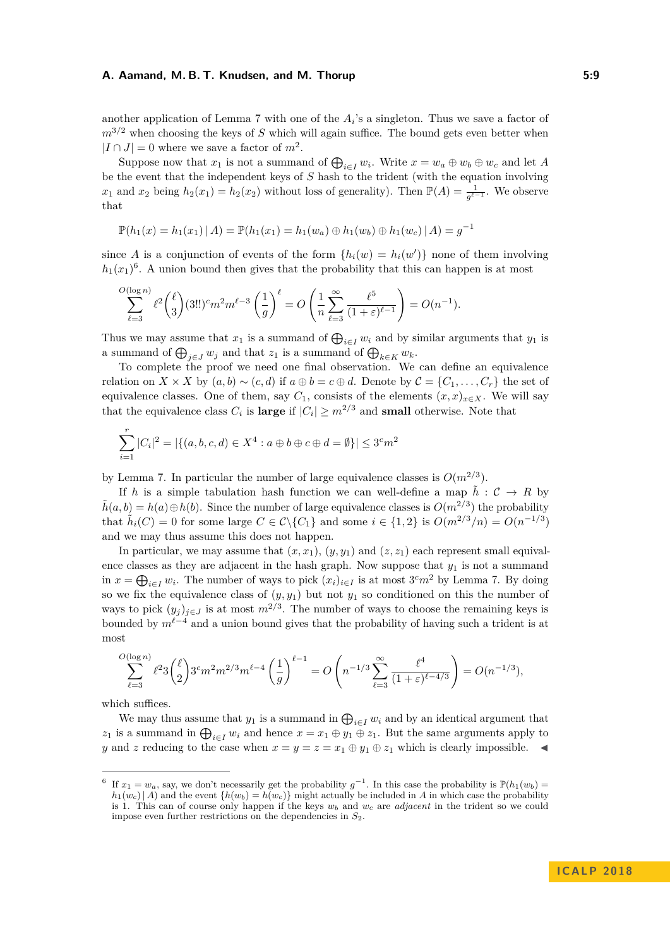another application of Lemma [7](#page-5-3) with one of the  $A_i$ 's a singleton. Thus we save a factor of  $m^{3/2}$  when choosing the keys of *S* which will again suffice. The bound gets even better when  $|I \cap J| = 0$  where we save a factor of  $m^2$ .

Suppose now that  $x_1$  is not a summand of  $\bigoplus_{i \in I} w_i$ . Write  $x = w_a \oplus w_b \oplus w_c$  and let A be the event that the independent keys of *S* hash to the trident (with the equation involving *x*<sub>1</sub> and *x*<sub>2</sub> being  $h_2(x_1) = h_2(x_2)$  without loss of generality). Then  $\mathbb{P}(A) = \frac{1}{g^{\ell-1}}$ . We observe that

$$
\mathbb{P}(h_1(x) = h_1(x_1) | A) = \mathbb{P}(h_1(x_1) = h_1(w_a) \oplus h_1(w_b) \oplus h_1(w_c) | A) = g^{-1}
$$

since *A* is a conjunction of events of the form  $\{h_i(w) = h_i(w')\}$  none of them involving  $h_1(x_1)^6$  $h_1(x_1)^6$ . A union bound then gives that the probability that this can happen is at most

$$
\sum_{\ell=3}^{O(\log n)} \ell^2 \binom{\ell}{3} (3!!)^c m^2 m^{\ell-3} \left(\frac{1}{g}\right)^{\ell} = O\left(\frac{1}{n} \sum_{\ell=3}^{\infty} \frac{\ell^5}{(1+\varepsilon)^{\ell-1}} \right) = O(n^{-1}).
$$

Thus we may assume that  $x_1$  is a summand of  $\bigoplus_{i \in I} w_i$  and by similar arguments that  $y_1$  is a summand of  $\bigoplus_{j\in J} w_j$  and that  $z_1$  is a summand of  $\bigoplus_{k\in K} w_k$ .

To complete the proof we need one final observation. We can define an equivalence relation on  $X \times X$  by  $(a, b) \sim (c, d)$  if  $a \oplus b = c \oplus d$ . Denote by  $C = \{C_1, \ldots, C_r\}$  the set of equivalence classes. One of them, say  $C_1$ , consists of the elements  $(x, x)_{x \in X}$ . We will say that the equivalence class  $C_i$  is **large** if  $|C_i| \geq m^{2/3}$  and **small** otherwise. Note that

$$
\sum_{i=1}^{r} |C_i|^2 = |\{(a, b, c, d) \in X^4 : a \oplus b \oplus c \oplus d = \emptyset\}| \leq 3^c m^2
$$

by Lemma [7.](#page-5-3) In particular the number of large equivalence classes is  $O(m^{2/3})$ .

If *h* is a simple tabulation hash function we can well-define a map  $\tilde{h}$  :  $C \rightarrow R$  by  $\tilde{h}(a, b) = h(a) \oplus h(b)$ . Since the number of large equivalence classes is  $O(m^{2/3})$  the probability that  $\tilde{h}_i(C) = 0$  for some large  $C \in \mathcal{C} \setminus \{C_1\}$  and some  $i \in \{1, 2\}$  is  $O(m^{2/3}/n) = O(n^{-1/3})$ and we may thus assume this does not happen.

In particular, we may assume that  $(x, x_1)$ ,  $(y, y_1)$  and  $(z, z_1)$  each represent small equivalence classes as they are adjacent in the hash graph. Now suppose that  $y_1$  is not a summand in  $x = \bigoplus_{i \in I} w_i$ . The number of ways to pick  $(x_i)_{i \in I}$  is at most  $3<sup>c</sup>m<sup>2</sup>$  by Lemma [7.](#page-5-3) By doing so we fix the equivalence class of  $(y, y_1)$  but not  $y_1$  so conditioned on this the number of ways to pick  $(y_j)_{j \in J}$  is at most  $m^{2/3}$ . The number of ways to choose the remaining keys is bounded by  $m^{\ell-4}$  and a union bound gives that the probability of having such a trident is at most

$$
\sum_{\ell=3}^{O(\log n)} \ell^2 3 \binom{\ell}{2} 3^c m^2 m^{2/3} m^{\ell-4} \left(\frac{1}{g}\right)^{\ell-1} = O\left(n^{-1/3} \sum_{\ell=3}^{\infty} \frac{\ell^4}{(1+\varepsilon)^{\ell-4/3}}\right) = O(n^{-1/3}),
$$

which suffices.

We may thus assume that  $y_1$  is a summand in  $\bigoplus_{i \in I} w_i$  and by an identical argument that *z*<sub>1</sub> is a summand in  $\bigoplus_{i \in I} w_i$  and hence  $x = x_1 \oplus y_1 \oplus z_1$ . But the same arguments apply to *y* and *z* reducing to the case when  $x = y = z = x_1 \oplus y_1 \oplus z_1$  which is clearly impossible.

<span id="page-8-0"></span><sup>6</sup> If  $x_1 = w_a$ , say, we don't necessarily get the probability  $g^{-1}$ . In this case the probability is  $\mathbb{P}(h_1(w_b) =$  $h_1(w_c) | A$  and the event  $\{h(w_b) = h(w_c)\}$  might actually be included in *A* in which case the probability is 1. This can of course only happen if the keys *w<sup>b</sup>* and *w<sup>c</sup>* are *adjacent* in the trident so we could impose even further restrictions on the dependencies in *S*2.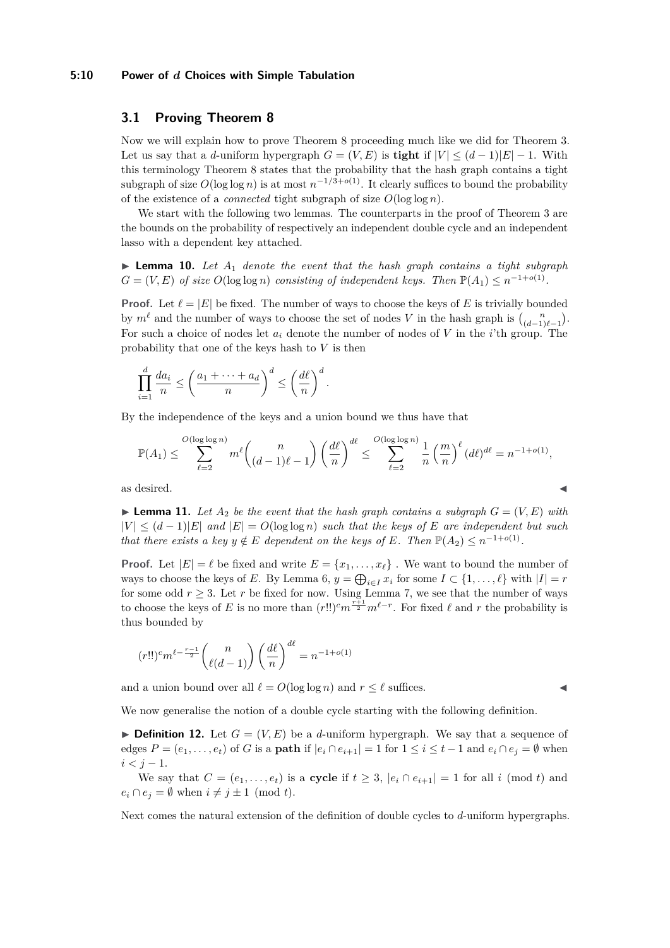## **5:10 Power of** *d* **Choices with Simple Tabulation**

# **3.1 Proving Theorem [8](#page-5-5)**

Now we will explain how to prove Theorem [8](#page-5-5) proceeding much like we did for Theorem [3.](#page-3-1) Let us say that a *d*-uniform hypergraph  $G = (V, E)$  is **tight** if  $|V| \leq (d-1)|E|-1$ . With this terminology Theorem [8](#page-5-5) states that the probability that the hash graph contains a tight subgraph of size  $O(\log \log n)$  is at most  $n^{-1/3+o(1)}$ . It clearly suffices to bound the probability of the existence of a *connected* tight subgraph of size *O*(log log *n*).

We start with the following two lemmas. The counterparts in the proof of Theorem [3](#page-3-1) are the bounds on the probability of respectively an independent double cycle and an independent lasso with a dependent key attached.

<span id="page-9-0"></span>**Lemma 10.** Let  $A_1$  denote the event that the hash graph contains a tight subgraph  $G = (V, E)$  *of size*  $O(\log \log n)$  *consisting of independent keys. Then*  $\mathbb{P}(A_1) \leq n^{-1+o(1)}$ *.* 

**Proof.** Let  $\ell = |E|$  be fixed. The number of ways to choose the keys of *E* is trivially bounded by  $m^{\ell}$  and the number of ways to choose the set of nodes *V* in the hash graph is  $\binom{n}{(d-1)\ell-1}$ . For such a choice of nodes let *a<sup>i</sup>* denote the number of nodes of *V* in the *i*'th group. The probability that one of the keys hash to *V* is then

$$
\prod_{i=1}^d \frac{da_i}{n} \le \left(\frac{a_1 + \dots + a_d}{n}\right)^d \le \left(\frac{d\ell}{n}\right)^d.
$$

By the independence of the keys and a union bound we thus have that

$$
\mathbb{P}(A_1) \le \sum_{\ell=2}^{O(\log \log n)} m^{\ell} {n \choose (d-1)\ell-1} \left(\frac{d\ell}{n}\right)^{d\ell} \le \sum_{\ell=2}^{O(\log \log n)} \frac{1}{n} \left(\frac{m}{n}\right)^{\ell} (d\ell)^{d\ell} = n^{-1+o(1)},
$$
as desired.

<span id="page-9-1"></span>**If Lemma 11.** Let  $A_2$  be the event that the hash graph contains a subgraph  $G = (V, E)$  with  $|V|$  ≤  $(d-1)|E|$  *and*  $|E|$  =  $O(log log n)$  *such that the keys of E are independent but such that there exists a key*  $y \notin E$  *<i>dependent on the keys of*  $E$ *. Then*  $\mathbb{P}(A_2) \leq n^{-1+o(1)}$ *.* 

**Proof.** Let  $|E| = \ell$  be fixed and write  $E = \{x_1, \ldots, x_\ell\}$ . We want to bound the number of ways to choose the keys of *E*. By Lemma [6,](#page-5-1)  $y = \bigoplus_{i \in I} x_i$  for some  $I \subset \{1, \ldots, \ell\}$  with  $|I| = r$ for some odd  $r \geq 3$ . Let *r* be fixed for now. Using Lemma [7,](#page-5-3) we see that the number of ways to choose the keys of *E* is no more than  $(r!!)^{c} m^{\frac{r+1}{2}} m^{\ell-r}$ . For fixed  $\ell$  and  $r$  the probability is thus bounded by

$$
(r!!)^{c} m^{\ell - \frac{r-1}{2}} \binom{n}{\ell(d-1)} \left(\frac{d\ell}{n}\right)^{d\ell} = n^{-1+o(1)}
$$

and a union bound over all  $\ell = O(\log \log n)$  and  $r \leq \ell$  suffices.

We now generalise the notion of a double cycle starting with the following definition.

**Definition 12.** Let  $G = (V, E)$  be a *d*-uniform hypergraph. We say that a sequence of edges  $P = (e_1, \ldots, e_t)$  of *G* is a **path** if  $|e_i \cap e_{i+1}| = 1$  for  $1 \leq i \leq t-1$  and  $e_i \cap e_j = \emptyset$  when  $i < j - 1$ .

We say that  $C = (e_1, \ldots, e_t)$  is a **cycle** if  $t \geq 3$ ,  $|e_i \cap e_{i+1}| = 1$  for all *i* (mod *t*) and  $e_i \cap e_j = \emptyset$  when  $i \neq j \pm 1 \pmod{t}$ .

Next comes the natural extension of the definition of double cycles to *d*-uniform hypergraphs.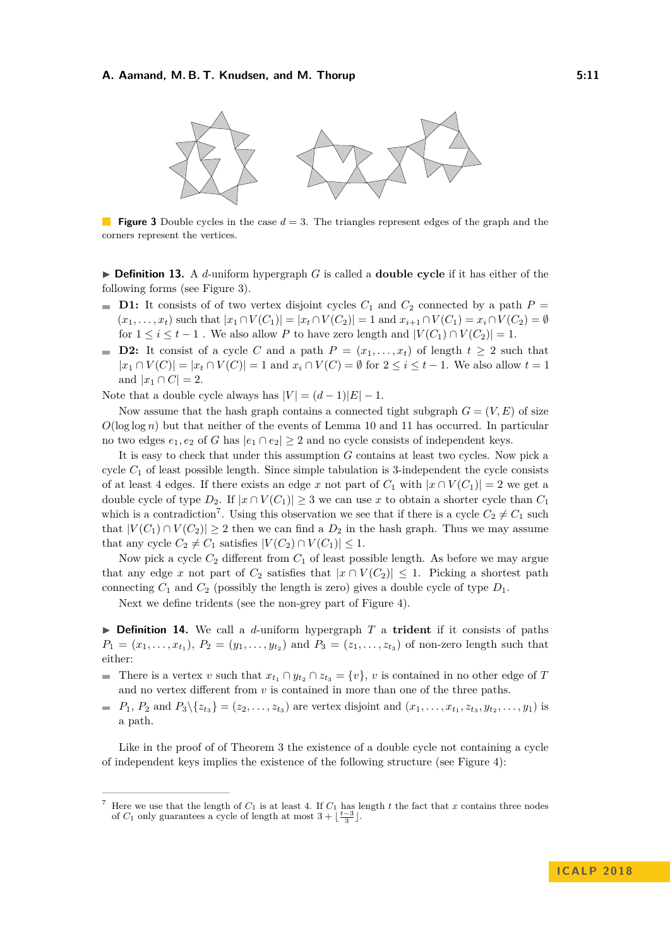<span id="page-10-0"></span>

**Figure 3** Double cycles in the case  $d = 3$ . The triangles represent edges of the graph and the corners represent the vertices.

 $\triangleright$  **Definition 13.** A *d*-uniform hypergraph *G* is called a **double cycle** if it has either of the following forms (see Figure [3\)](#page-10-0).

- **D1:** It consists of of two vertex disjoint cycles  $C_1$  and  $C_2$  connected by a path  $P =$  $(x_1, \ldots, x_t)$  such that  $|x_1 \cap V(C_1)| = |x_t \cap V(C_2)| = 1$  and  $x_{i+1} \cap V(C_1) = x_i \cap V(C_2) = \emptyset$ for  $1 \leq i \leq t-1$ . We also allow P to have zero length and  $|V(C_1) \cap V(C_2)| = 1$ .
- **D2:** It consist of a cycle C and a path  $P = (x_1, \ldots, x_t)$  of length  $t \geq 2$  such that  $|x_1 \cap V(C)| = |x_t \cap V(C)| = 1$  and  $x_i \cap V(C) = ∅$  for  $2 \le i \le t - 1$ . We also allow  $t = 1$ and  $|x_1 \cap C| = 2$ .

Note that a double cycle always has  $|V| = (d-1)|E| - 1$ .

Now assume that the hash graph contains a connected tight subgraph  $G = (V, E)$  of size  $O(\log \log n)$  but that neither of the events of Lemma [10](#page-9-0) and [11](#page-9-1) has occurred. In particular no two edges  $e_1, e_2$  of *G* has  $|e_1 \cap e_2| \geq 2$  and no cycle consists of independent keys.

It is easy to check that under this assumption *G* contains at least two cycles. Now pick a cycle  $C_1$  of least possible length. Since simple tabulation is 3-independent the cycle consists of at least 4 edges. If there exists an edge *x* not part of  $C_1$  with  $|x \cap V(C_1)| = 2$  we get a double cycle of type *D*<sub>2</sub>. If  $|x \cap V(C_1)| \geq 3$  we can use *x* to obtain a shorter cycle than *C*<sub>1</sub> which is a contradiction<sup>[7](#page-10-1)</sup>. Using this observation we see that if there is a cycle  $C_2 \neq C_1$  such that  $|V(C_1) \cap V(C_2)| \geq 2$  then we can find a  $D_2$  in the hash graph. Thus we may assume that any cycle  $C_2 \neq C_1$  satisfies  $|V(C_2) \cap V(C_1)| \leq 1$ .

Now pick a cycle *C*<sup>2</sup> different from *C*<sup>1</sup> of least possible length. As before we may argue that any edge *x* not part of  $C_2$  satisfies that  $|x \cap V(C_2)| \leq 1$ . Picking a shortest path connecting  $C_1$  and  $C_2$  (possibly the length is zero) gives a double cycle of type  $D_1$ .

Next we define tridents (see the non-grey part of Figure [4\)](#page-11-0).

 $\triangleright$  **Definition 14.** We call a *d*-uniform hypergraph *T* a **trident** if it consists of paths  $P_1 = (x_1, \ldots, x_{t_1}), P_2 = (y_1, \ldots, y_{t_2})$  and  $P_3 = (z_1, \ldots, z_{t_3})$  of non-zero length such that either:

- There is a vertex *v* such that  $x_{t_1} \nvert y_{t_2} \nvert z_{t_3} = \{v\}$ , *v* is contained in no other edge of *T* and no vertex different from  $v$  is contained in more than one of the three paths.
- $P_1, P_2 \text{ and } P_3 \setminus \{z_{t_3}\} = (z_2, \ldots, z_{t_3}) \text{ are vertex disjoint and } (x_1, \ldots, x_{t_1}, z_{t_3}, y_{t_2}, \ldots, y_1) \text{ is }$ a path.

Like in the proof of of Theorem [3](#page-3-1) the existence of a double cycle not containing a cycle of independent keys implies the existence of the following structure (see Figure [4\)](#page-11-0):

<span id="page-10-1"></span>Here we use that the length of  $C_1$  is at least 4. If  $C_1$  has length t the fact that x contains three nodes of  $C_1$  only guarantees a cycle of length at most  $3 + \lfloor \frac{t-3}{3} \rfloor$ .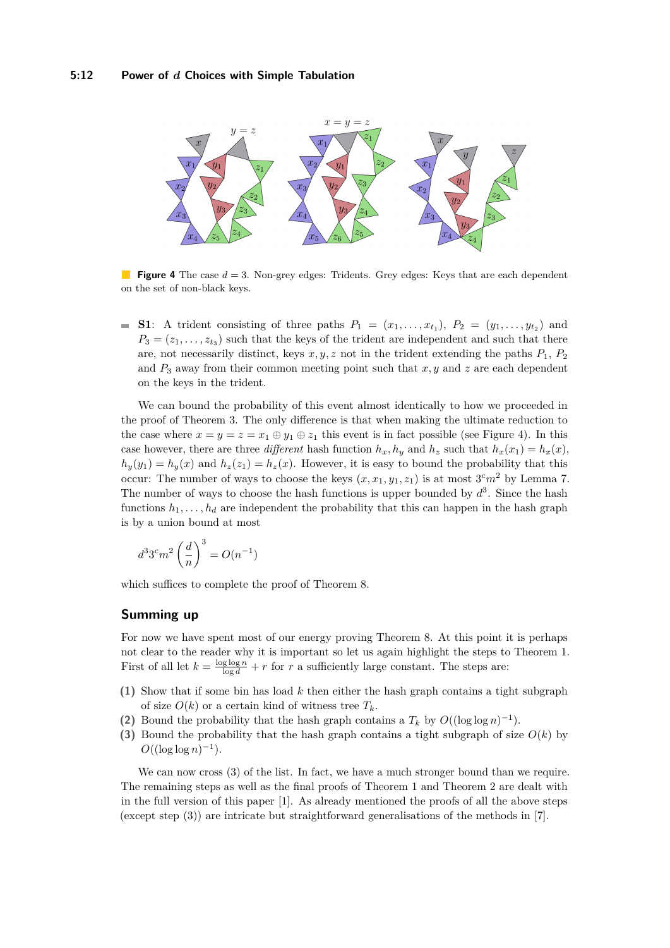<span id="page-11-0"></span>

**Figure 4** The case  $d = 3$ . Non-grey edges: Tridents. Grey edges: Keys that are each dependent on the set of non-black keys.

**S1**: A trident consisting of three paths  $P_1 = (x_1, \ldots, x_{t_1}), P_2 = (y_1, \ldots, y_{t_2})$  and  $P_3 = (z_1, \ldots, z_{t_3})$  such that the keys of the trident are independent and such that there are, not necessarily distinct, keys  $x, y, z$  not in the trident extending the paths  $P_1, P_2$ and  $P_3$  away from their common meeting point such that  $x, y$  and  $z$  are each dependent on the keys in the trident.

We can bound the probability of this event almost identically to how we proceeded in the proof of Theorem [3.](#page-3-1) The only difference is that when making the ultimate reduction to the case where  $x = y = z = x_1 \oplus y_1 \oplus z_1$  this event is in fact possible (see Figure [4\)](#page-11-0). In this case however, there are three *different* hash function  $h_x, h_y$  and  $h_z$  such that  $h_x(x_1) = h_x(x)$ ,  $h_y(y_1) = h_y(x)$  and  $h_z(z_1) = h_z(x)$ . However, it is easy to bound the probability that this occur: The number of ways to choose the keys  $(x, x_1, y_1, z_1)$  is at most  $3<sup>c</sup>m<sup>2</sup>$  by Lemma [7.](#page-5-3) The number of ways to choose the hash functions is upper bounded by  $d^3$ . Since the hash functions  $h_1, \ldots, h_d$  are independent the probability that this can happen in the hash graph is by a union bound at most

$$
d^3 3^c m^2 \left(\frac{d}{n}\right)^3 = O(n^{-1})
$$

which suffices to complete the proof of Theorem [8.](#page-5-5)

## **Summing up**

For now we have spent most of our energy proving Theorem [8.](#page-5-5) At this point it is perhaps not clear to the reader why it is important so let us again highlight the steps to Theorem [1.](#page-2-0) First of all let  $k = \frac{\log \log n}{\log d} + r$  for *r* a sufficiently large constant. The steps are:

- **(1)** Show that if some bin has load *k* then either the hash graph contains a tight subgraph of size  $O(k)$  or a certain kind of witness tree  $T_k$ .
- (2) Bound the probability that the hash graph contains a  $T_k$  by  $O((\log \log n)^{-1})$ .
- **(3)** Bound the probability that the hash graph contains a tight subgraph of size *O*(*k*) by  $O((\log \log n)^{-1}).$

We can now cross  $(3)$  of the list. In fact, we have a much stronger bound than we require. The remaining steps as well as the final proofs of Theorem [1](#page-2-0) and Theorem [2](#page-2-1) are dealt with in the full version of this paper [\[1\]](#page-12-0). As already mentioned the proofs of all the above steps (except step (3)) are intricate but straightforward generalisations of the methods in [\[7\]](#page-12-7).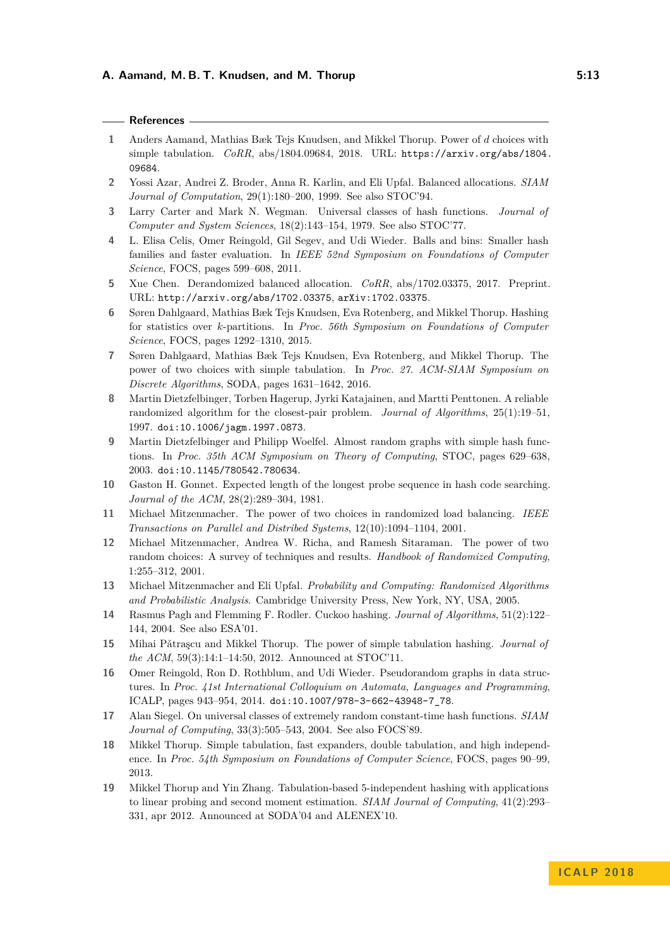## **References**

- <span id="page-12-0"></span>**1** Anders Aamand, Mathias Bæk Tejs Knudsen, and Mikkel Thorup. Power of *d* choices with simple tabulation. *CoRR*, abs/1804.09684, 2018. URL: [https://arxiv.org/abs/1804.](https://arxiv.org/abs/1804.09684) [09684](https://arxiv.org/abs/1804.09684).
- <span id="page-12-2"></span>**2** Yossi Azar, Andrei Z. Broder, Anna R. Karlin, and Eli Upfal. Balanced allocations. *SIAM Journal of Computation*, 29(1):180–200, 1999. See also STOC'94.
- <span id="page-12-8"></span>**3** Larry Carter and Mark N. Wegman. Universal classes of hash functions. *Journal of Computer and System Sciences*, 18(2):143–154, 1979. See also STOC'77.
- <span id="page-12-16"></span>**4** L. Elisa Celis, Omer Reingold, Gil Segev, and Udi Wieder. Balls and bins: Smaller hash families and faster evaluation. In *IEEE 52nd Symposium on Foundations of Computer Science*, FOCS, pages 599–608, 2011.
- <span id="page-12-17"></span>**5** Xue Chen. Derandomized balanced allocation. *CoRR*, abs/1702.03375, 2017. Preprint. URL: <http://arxiv.org/abs/1702.03375>, [arXiv:1702.03375](http://arxiv.org/abs/1702.03375).
- <span id="page-12-18"></span>**6** Søren Dahlgaard, Mathias Bæk Tejs Knudsen, Eva Rotenberg, and Mikkel Thorup. Hashing for statistics over *k*-partitions. In *Proc. 56th Symposium on Foundations of Computer Science*, FOCS, pages 1292–1310, 2015.
- <span id="page-12-7"></span>**7** Søren Dahlgaard, Mathias Bæk Tejs Knudsen, Eva Rotenberg, and Mikkel Thorup. The power of two choices with simple tabulation. In *Proc. 27. ACM-SIAM Symposium on Discrete Algorithms*, SODA, pages 1631–1642, 2016.
- <span id="page-12-9"></span>**8** Martin Dietzfelbinger, Torben Hagerup, Jyrki Katajainen, and Martti Penttonen. A reliable randomized algorithm for the closest-pair problem. *Journal of Algorithms*, 25(1):19–51, 1997. [doi:10.1006/jagm.1997.0873](http://dx.doi.org/10.1006/jagm.1997.0873).
- <span id="page-12-13"></span>**9** Martin Dietzfelbinger and Philipp Woelfel. Almost random graphs with simple hash functions. In *Proc. 35th ACM Symposium on Theory of Computing*, STOC, pages 629–638, 2003. [doi:10.1145/780542.780634](http://dx.doi.org/10.1145/780542.780634).
- <span id="page-12-1"></span>**10** Gaston H. Gonnet. Expected length of the longest probe sequence in hash code searching. *Journal of the ACM*, 28(2):289–304, 1981.
- <span id="page-12-4"></span>**11** Michael Mitzenmacher. The power of two choices in randomized load balancing. *IEEE Transactions on Parallel and Distribed Systems*, 12(10):1094–1104, 2001.
- <span id="page-12-5"></span>**12** Michael Mitzenmacher, Andrea W. Richa, and Ramesh Sitaraman. The power of two random choices: A survey of techniques and results. *Handbook of Randomized Computing*, 1:255–312, 2001.
- <span id="page-12-3"></span>**13** Michael Mitzenmacher and Eli Upfal. *Probability and Computing: Randomized Algorithms and Probabilistic Analysis*. Cambridge University Press, New York, NY, USA, 2005.
- <span id="page-12-10"></span>**14** Rasmus Pagh and Flemming F. Rodler. Cuckoo hashing. *Journal of Algorithms*, 51(2):122– 144, 2004. See also ESA'01.
- <span id="page-12-6"></span>**15** Mihai Pǎtraṣcu and Mikkel Thorup. The power of simple tabulation hashing. *Journal of the ACM*, 59(3):14:1–14:50, 2012. Announced at STOC'11.
- <span id="page-12-15"></span>**16** Omer Reingold, Ron D. Rothblum, and Udi Wieder. Pseudorandom graphs in data structures. In *Proc. 41st International Colloquium on Automata, Languages and Programming*, ICALP, pages 943–954, 2014. [doi:10.1007/978-3-662-43948-7\\_78](http://dx.doi.org/10.1007/978-3-662-43948-7_78).
- <span id="page-12-11"></span>**17** Alan Siegel. On universal classes of extremely random constant-time hash functions. *SIAM Journal of Computing*, 33(3):505–543, 2004. See also FOCS'89.
- <span id="page-12-12"></span>**18** Mikkel Thorup. Simple tabulation, fast expanders, double tabulation, and high independence. In *Proc. 54th Symposium on Foundations of Computer Science*, FOCS, pages 90–99, 2013.
- <span id="page-12-14"></span>**19** Mikkel Thorup and Yin Zhang. Tabulation-based 5-independent hashing with applications to linear probing and second moment estimation. *SIAM Journal of Computing*, 41(2):293– 331, apr 2012. Announced at SODA'04 and ALENEX'10.